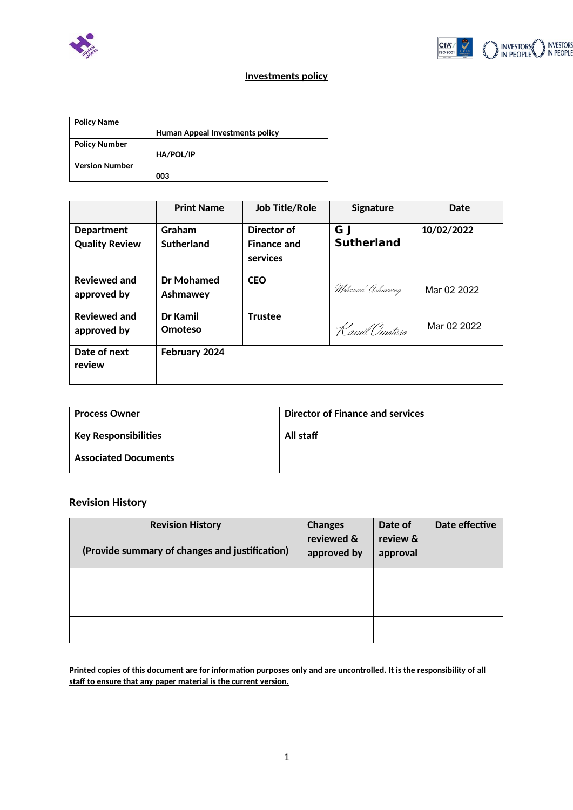



## **Investments policy**

| <b>Policy Name</b>    |                                        |
|-----------------------|----------------------------------------|
|                       | <b>Human Appeal Investments policy</b> |
| <b>Policy Number</b>  |                                        |
|                       | HA/POL/IP                              |
| <b>Version Number</b> |                                        |
|                       | 003                                    |

|                                            | <b>Print Name</b>      | <b>Job Title/Role</b>                         | <b>Signature</b>         | Date        |
|--------------------------------------------|------------------------|-----------------------------------------------|--------------------------|-------------|
| <b>Department</b><br><b>Quality Review</b> | Graham<br>Sutherland   | Director of<br><b>Finance and</b><br>services | G I<br><b>Sutherland</b> | 10/02/2022  |
| <b>Reviewed and</b><br>approved by         | Dr Mohamed<br>Ashmawey | <b>CEO</b>                                    | Mohamed Ashmawey         | Mar 02 2022 |
| <b>Reviewed and</b><br>approved by         | Dr Kamil<br>Omoteso    | <b>Trustee</b>                                | Kamil Omoteso            | Mar 02 2022 |
| Date of next<br>review                     | February 2024          |                                               |                          |             |

| <b>Process Owner</b>        | Director of Finance and services |
|-----------------------------|----------------------------------|
| <b>Key Responsibilities</b> | All staff                        |
| <b>Associated Documents</b> |                                  |

# **Revision History**

| <b>Revision History</b><br>(Provide summary of changes and justification) | <b>Changes</b><br>reviewed &<br>approved by | Date of<br>review &<br>approval | Date effective |
|---------------------------------------------------------------------------|---------------------------------------------|---------------------------------|----------------|
|                                                                           |                                             |                                 |                |
|                                                                           |                                             |                                 |                |
|                                                                           |                                             |                                 |                |

**Printed copies of this document are for information purposes only and are uncontrolled. It is the responsibility of all staff to ensure that any paper material is the current version.**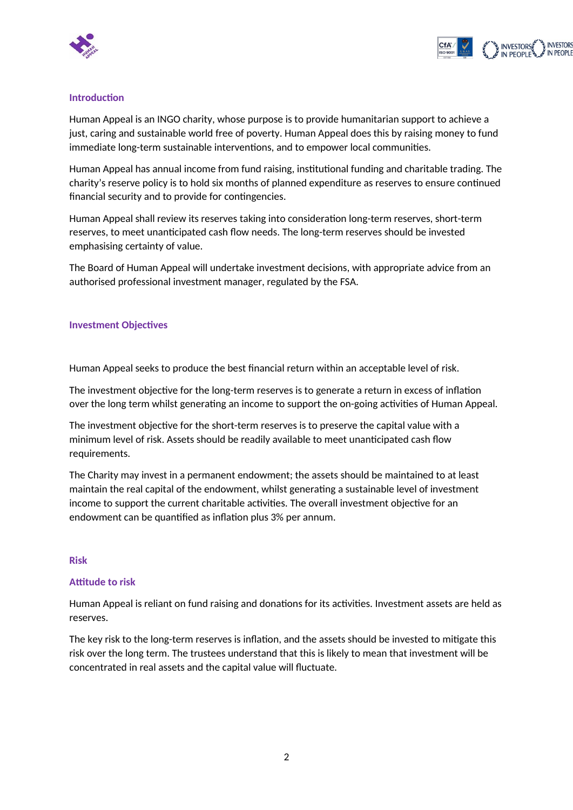



#### **Introduction**

Human Appeal is an INGO charity, whose purpose is to provide humanitarian support to achieve a just, caring and sustainable world free of poverty. Human Appeal does this by raising money to fund immediate long-term sustainable interventions, and to empower local communities.

Human Appeal has annual income from fund raising, institutional funding and charitable trading. The charity's reserve policy is to hold six months of planned expenditure as reserves to ensure continued financial security and to provide for contingencies.

Human Appeal shall review its reserves taking into consideration long-term reserves, short-term reserves, to meet unanticipated cash flow needs. The long-term reserves should be invested emphasising certainty of value.

The Board of Human Appeal will undertake investment decisions, with appropriate advice from an authorised professional investment manager, regulated by the FSA.

#### **Investment Objectives**

Human Appeal seeks to produce the best financial return within an acceptable level of risk.

The investment objective for the long-term reserves is to generate a return in excess of inflation over the long term whilst generating an income to support the on-going activities of Human Appeal.

The investment objective for the short-term reserves is to preserve the capital value with a minimum level of risk. Assets should be readily available to meet unanticipated cash flow requirements.

The Charity may invest in a permanent endowment; the assets should be maintained to at least maintain the real capital of the endowment, whilst generating a sustainable level of investment income to support the current charitable activities. The overall investment objective for an endowment can be quantified as inflation plus 3% per annum.

#### **Risk**

#### **Attitude to risk**

Human Appeal is reliant on fund raising and donations for its activities. Investment assets are held as reserves.

The key risk to the long-term reserves is inflation, and the assets should be invested to mitigate this risk over the long term. The trustees understand that this is likely to mean that investment will be concentrated in real assets and the capital value will fluctuate.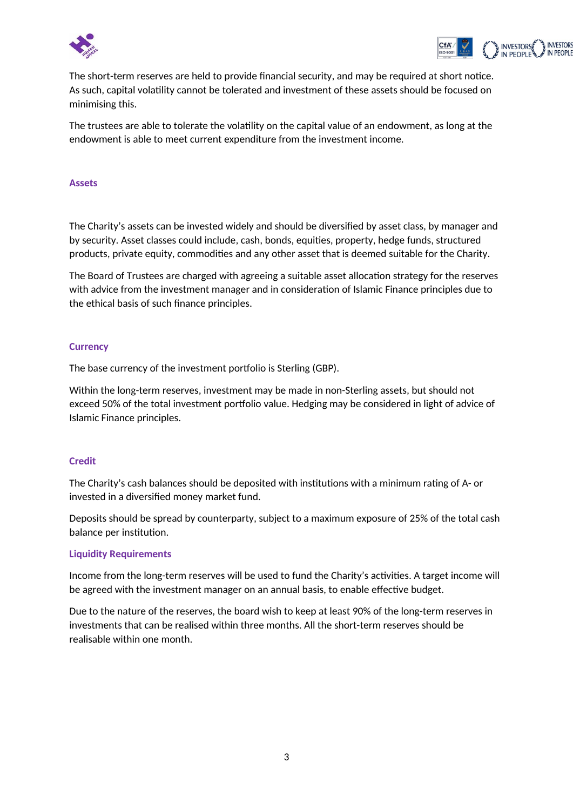



The short-term reserves are held to provide financial security, and may be required at short notice. As such, capital volatility cannot be tolerated and investment of these assets should be focused on minimising this.

The trustees are able to tolerate the volatility on the capital value of an endowment, as long at the endowment is able to meet current expenditure from the investment income.

#### **Assets**

The Charity's assets can be invested widely and should be diversified by asset class, by manager and by security. Asset classes could include, cash, bonds, equities, property, hedge funds, structured products, private equity, commodities and any other asset that is deemed suitable for the Charity.

The Board of Trustees are charged with agreeing a suitable asset allocation strategy for the reserves with advice from the investment manager and in consideration of Islamic Finance principles due to the ethical basis of such finance principles.

#### **Currency**

The base currency of the investment portfolio is Sterling (GBP).

Within the long-term reserves, investment may be made in non-Sterling assets, but should not exceed 50% of the total investment portfolio value. Hedging may be considered in light of advice of Islamic Finance principles.

#### **Credit**

The Charity's cash balances should be deposited with institutions with a minimum rating of A- or invested in a diversified money market fund.

Deposits should be spread by counterparty, subject to a maximum exposure of 25% of the total cash balance per institution.

#### **Liquidity Requirements**

Income from the long-term reserves will be used to fund the Charity's activities. A target income will be agreed with the investment manager on an annual basis, to enable effective budget.

Due to the nature of the reserves, the board wish to keep at least 90% of the long-term reserves in investments that can be realised within three months. All the short-term reserves should be realisable within one month.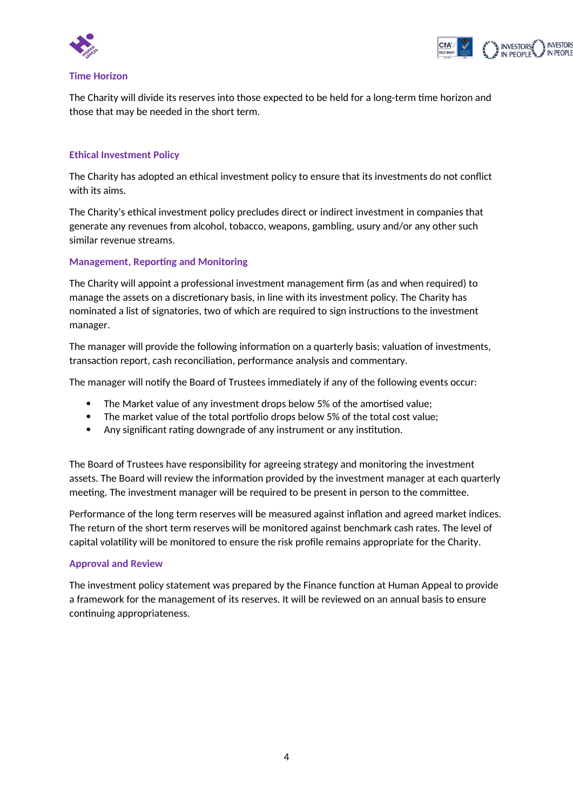



#### **Time Horizon**

The Charity will divide its reserves into those expected to be held for a long-term time horizon and those that may be needed in the short term.

### **Ethical Investment Policy**

The Charity has adopted an ethical investment policy to ensure that its investments do not conflict with its aims.

The Charity's ethical investment policy precludes direct or indirect investment in companies that generate any revenues from alcohol, tobacco, weapons, gambling, usury and/or any other such similar revenue streams.

#### **Management, Reporting and Monitoring**

The Charity will appoint a professional investment management firm (as and when required) to manage the assets on a discretionary basis, in line with its investment policy. The Charity has nominated a list of signatories, two of which are required to sign instructions to the investment manager.

The manager will provide the following information on a quarterly basis; valuation of investments, transaction report, cash reconciliation, performance analysis and commentary.

The manager will notify the Board of Trustees immediately if any of the following events occur:

- The Market value of any investment drops below 5% of the amortised value;
- The market value of the total portfolio drops below 5% of the total cost value;
- Any significant rating downgrade of any instrument or any institution.

The Board of Trustees have responsibility for agreeing strategy and monitoring the investment assets. The Board will review the information provided by the investment manager at each quarterly meeting. The investment manager will be required to be present in person to the committee.

Performance of the long term reserves will be measured against inflation and agreed market indices. The return of the short term reserves will be monitored against benchmark cash rates. The level of capital volatility will be monitored to ensure the risk profile remains appropriate for the Charity.

#### **Approval and Review**

The investment policy statement was prepared by the Finance function at Human Appeal to provide a framework for the management of its reserves. It will be reviewed on an annual basis to ensure continuing appropriateness.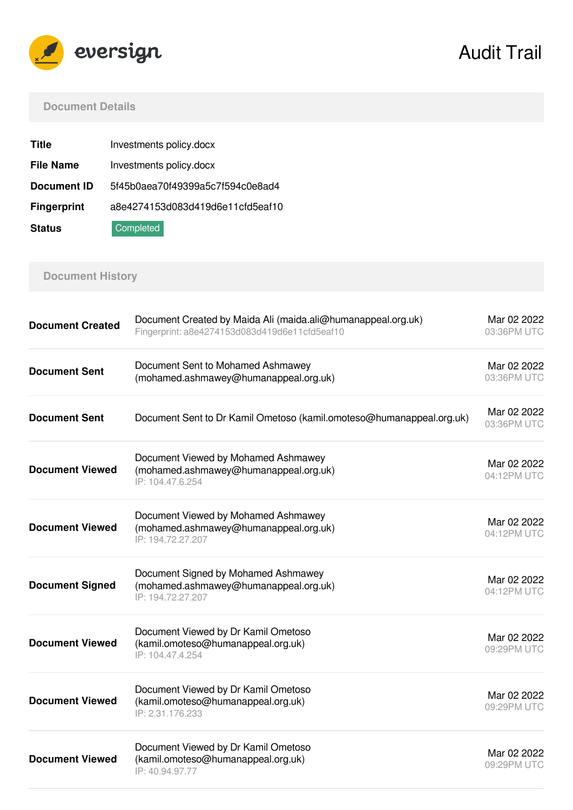

Audit Trail

### **Document Details**

| <b>Title</b>       | Investments policy.docx          |
|--------------------|----------------------------------|
| <b>File Name</b>   | Investments policy.docx          |
| <b>Document ID</b> | 5f45b0aea70f49399a5c7f594c0e8ad4 |
| <b>Fingerprint</b> | a8e4274153d083d419d6e11cfd5eaf10 |
| <b>Status</b>      | Completed                        |

# **Document History**

| <b>Document Created</b> | Document Created by Maida Ali (maida.ali@humanappeal.org.uk)<br>Fingerprint: a8e4274153d083d419d6e11cfd5eaf10 | Mar 02 2022<br>03:36PM UTC |
|-------------------------|---------------------------------------------------------------------------------------------------------------|----------------------------|
| <b>Document Sent</b>    | Document Sent to Mohamed Ashmawey<br>(mohamed.ashmawey@humanappeal.org.uk)                                    | Mar 02 2022<br>03:36PM UTC |
| <b>Document Sent</b>    | Document Sent to Dr Kamil Ometoso (kamil.omoteso@humanappeal.org.uk)                                          | Mar 02 2022<br>03:36PM UTC |
| <b>Document Viewed</b>  | Document Viewed by Mohamed Ashmawey<br>(mohamed.ashmawey@humanappeal.org.uk)<br>IP: 104.47.6.254              | Mar 02 2022<br>04:12PM UTC |
| <b>Document Viewed</b>  | Document Viewed by Mohamed Ashmawey<br>(mohamed.ashmawey@humanappeal.org.uk)<br>IP: 194.72.27.207             | Mar 02 2022<br>04:12PM UTC |
| <b>Document Signed</b>  | Document Signed by Mohamed Ashmawey<br>(mohamed.ashmawey@humanappeal.org.uk)<br>IP: 194.72.27.207             | Mar 02 2022<br>04:12PM UTC |
| <b>Document Viewed</b>  | Document Viewed by Dr Kamil Ometoso<br>(kamil.omoteso@humanappeal.org.uk)<br>IP: 104.47.4.254                 | Mar 02 2022<br>09:29PM UTC |
| <b>Document Viewed</b>  | Document Viewed by Dr Kamil Ometoso<br>(kamil.omoteso@humanappeal.org.uk)<br>IP: 2.31.176.233                 | Mar 02 2022<br>09:29PM UTC |
| <b>Document Viewed</b>  | Document Viewed by Dr Kamil Ometoso<br>(kamil.omoteso@humanappeal.org.uk)<br>IP: 40.94.97.77                  | Mar 02 2022<br>09:29PM UTC |